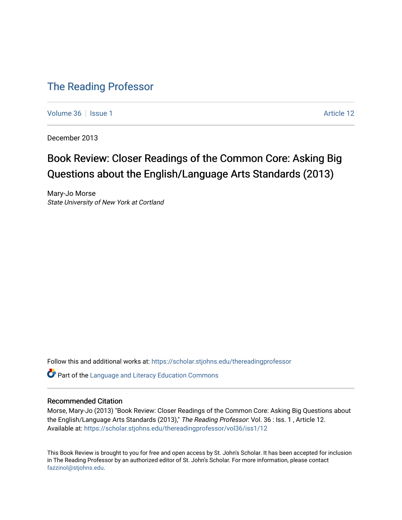### [The Reading Professor](https://scholar.stjohns.edu/thereadingprofessor)

[Volume 36](https://scholar.stjohns.edu/thereadingprofessor/vol36) | [Issue 1](https://scholar.stjohns.edu/thereadingprofessor/vol36/iss1) Article 12

December 2013

## Book Review: Closer Readings of the Common Core: Asking Big Questions about the English/Language Arts Standards (2013)

Mary-Jo Morse State University of New York at Cortland

Follow this and additional works at: [https://scholar.stjohns.edu/thereadingprofessor](https://scholar.stjohns.edu/thereadingprofessor?utm_source=scholar.stjohns.edu%2Fthereadingprofessor%2Fvol36%2Fiss1%2F12&utm_medium=PDF&utm_campaign=PDFCoverPages) 

**P** Part of the Language and Literacy Education Commons

### Recommended Citation

Morse, Mary-Jo (2013) "Book Review: Closer Readings of the Common Core: Asking Big Questions about the English/Language Arts Standards (2013)," The Reading Professor: Vol. 36 : Iss. 1, Article 12. Available at: [https://scholar.stjohns.edu/thereadingprofessor/vol36/iss1/12](https://scholar.stjohns.edu/thereadingprofessor/vol36/iss1/12?utm_source=scholar.stjohns.edu%2Fthereadingprofessor%2Fvol36%2Fiss1%2F12&utm_medium=PDF&utm_campaign=PDFCoverPages)

This Book Review is brought to you for free and open access by St. John's Scholar. It has been accepted for inclusion in The Reading Professor by an authorized editor of St. John's Scholar. For more information, please contact [fazzinol@stjohns.edu](mailto:fazzinol@stjohns.edu).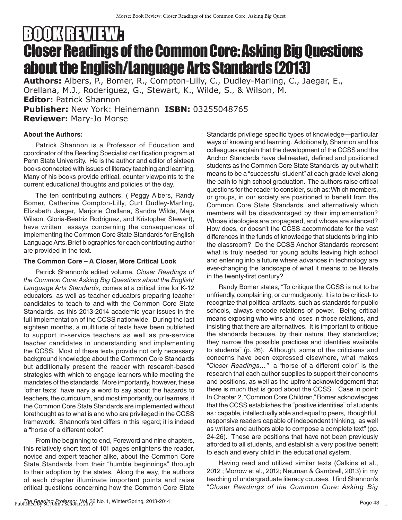# BOOKBELLE Closer Readings of the Common Core: Asking Big Questions about the English/Language Arts Standards (2013)

**Authors:** Albers, P., Bomer, R., Compton-Lilly, C., Dudley-Marling, C., Jaegar, E., Orellana, M.J., Roderiguez, G., Stewart, K., Wilde, S., & Wilson, M. **Editor:** Patrick Shannon **Publisher:** New York: Heinemann **ISBN:** 03255048765

**Reviewer:** Mary-Jo Morse

### **About the Authors:**

Patrick Shannon is a Professor of Education and coordinator of the Reading Specialist certification program at Penn State University. He is the author and editor of sixteen books connected with issues of literacy teaching and learning. Many of his books provide critical, counter viewpoints to the current educational thoughts and policies of the day.

The ten contributing authors, ( Peggy Albers, Randy Bomer, Catherine Compton-Lilly, Curt Dudley-Marling, Elizabeth Jaeger, Marjorie Orellana, Sandra Wilde, Maja Wilson, Gloria-Beatriz Rodriguez, and Kristopher Stewart), have written essays concerning the consequences of implementing the Common Core State Standards for English Language Arts. Brief biographies for each contributing author are provided in the text.

### **The Common Core – A Closer, More Critical Look**

Patrick Shannon's edited volume, *Closer Readings of the Common Core: Asking Big Questions about the English/ Language Arts Standards,* comes at a critical time for K-12 educators, as well as teacher educators preparing teacher candidates to teach to and with the Common Core State Standards, as this 2013-2014 academic year issues in the full implementation of the CCSS nationwide. During the last eighteen months, a multitude of texts have been published to support in-service teachers as well as pre-service teacher candidates in understanding and implementing the CCSS. Most of these texts provide not only necessary background knowledge about the Common Core Standards but additionally present the reader with research-based strategies with which to engage learners while meeting the mandates of the standards. More importantly, however, these "other texts" have nary a word to say about the hazards to teachers, the curriculum, and most importantly, our learners, if the Common Core State Standards are implemented without forethought as to what is and who are privileged in the CCSS framework. Shannon's text differs in this regard; it is indeed a "horse of a different color".

From the beginning to end, Foreword and nine chapters, this relatively short text of 101 pages enlightens the reader, novice and expert teacher alike, about the Common Core State Standards from their "humble beginnings" through to their adoption by the states. Along the way, the authors of each chapter illuminate important points and raise critical questions concerning how the Common Core State Standards privilege specific types of knowledge—particular ways of knowing and learning. Additionally, Shannon and his colleagues explain that the development of the CCSS and the Anchor Standards have delineated, defined and positioned students as the Common Core State Standards lay out what it means to be a "successful student" at each grade level along the path to high school graduation. The authors raise critical questions for the reader to consider, such as: Which members, or groups, in our society are positioned to benefit from the Common Core State Standards, and alternatively which members will be disadvantaged by their implementation? Whose ideologies are propagated, and whose are silenced? How does, or doesn't the CCSS accommodate for the vast differences in the funds of knowledge that students bring into the classroom? Do the CCSS Anchor Standards represent what is truly needed for young adults leaving high school and entering into a future where advances in technology are ever-changing the landscape of what it means to be literate in the twenty-first century?

Randy Bomer states, "To critique the CCSS is not to be unfriendly, complaining, or curmudgeonly. It is to be critical- to recognize that political artifacts, such as standards for public schools, always encode relations of power. Being critical means exposing who wins and loses in those relations, and insisting that there are alternatives. It is important to critique the standards because, by their nature, they standardize; they narrow the possible practices and identities available to students" (p. 26). Although, some of the criticisms and concerns have been expressed elsewhere, what makes "*Closer Readings…"* a "horse of a different color" is the research that each author supplies to support their concerns and positions, as well as the upfront acknowledgement that there is much that is good about the CCSS. Case in point: In Chapter 2, "Common Core Children," Bomer acknowledges that the CCSS establishes the "positive identities" of students as : capable, intellectually able and equal to peers, thoughtful, responsive readers capable of independent thinking, as well as writers and authors able to compose a complete text" (pp. 24-26). These are positions that have not been previously afforded to all students, and establish a very positive benefit to each and every child in the educational system.

Having read and utilized similar texts (Calkins et al., 2012 ; Morrow et al., 2012; Neuman & Gambrell, 2013) in my teaching of undergraduate literacy courses, I find Shannon's "*Closer Readings of the Common Core: Asking Big*